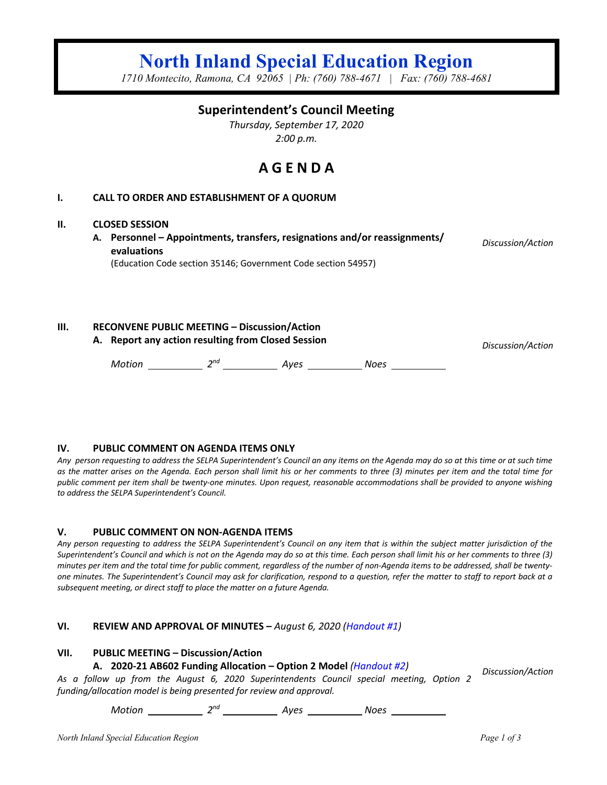# **North Inland Special Education Region**

*1710 Montecito, Ramona, CA 92065 | Ph: (760) 788-4671 | Fax: (760) 788-4681*

## **Superintendent's Council Meeting**

*Thursday, September 17, 2020 2:00 p.m.*

# **A G E N D A**

## **I. CALL TO ORDER AND ESTABLISHMENT OF A QUORUM**

#### **II. CLOSED SESSION**

**A. Personnel – Appointments, transfers, resignations and/or reassignments/ evaluations** (Education Code section 35146; Government Code section 54957)

*Discussion/Action*

**III. RECONVENE PUBLIC MEETING – Discussion/Action**

**A. Report any action resulting from Closed Session** *Discussion/Action*

Motion 2<sup>nd</sup> 2<sup>nd</sup> Ayes Noes Noes

#### **IV. PUBLIC COMMENT ON AGENDA ITEMS ONLY**

*Any person requesting to address the SELPA Superintendent's Council an any items on the Agenda may do so at this time or at such time as the matter arises on the Agenda. Each person shall limit his or her comments to three (3) minutes per item and the total time for public comment per item shall be twenty-one minutes. Upon request, reasonable accommodations shall be provided to anyone wishing to address the SELPA Superintendent's Council.*

#### **V. PUBLIC COMMENT ON NON-AGENDA ITEMS**

*Any person requesting to address the SELPA Superintendent's Council on any item that is within the subject matter jurisdiction of the Superintendent's Council and which is not on the Agenda may do so at this time. Each person shall limit his or her comments to three (3) minutes per item and the total time for public comment, regardless of the number of non-Agenda items to be addressed, shall be twentyone minutes. The Superintendent's Council may ask for clarification, respond to a question, refer the matter to staff to report back at a subsequent meeting, or direct staff to place the matter on a future Agenda.*

#### **VI. REVIEW AND APPROVAL OF MINUTES –** *August 6, 2020 (Handout #1)*

## **VII. PUBLIC MEETING – Discussion/Action**

#### **A. 2020-21 AB602 Funding Allocation – Option 2 Model** *(Handout #2)*

*Discussion/Action*

*As a follow up from the August 6, 2020 Superintendents Council special meeting, Option 2 funding/allocation model is being presented for review and approval.*

*Motion 2nd Ayes Noes*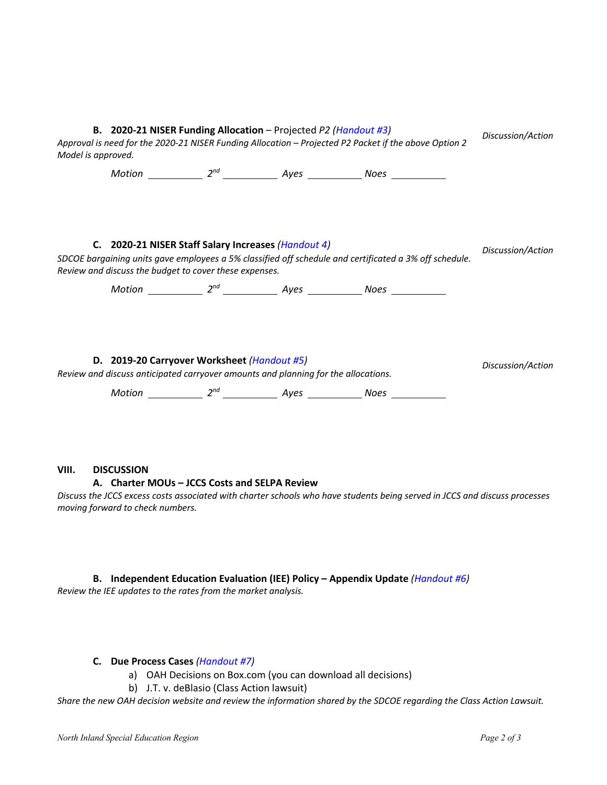| B. 2020-21 NISER Funding Allocation - Projected P2 (Handout #3)<br>Approval is need for the 2020-21 NISER Funding Allocation - Projected P2 Packet if the above Option 2<br>Model is approved.                          |  |  |  |  | Discussion/Action |
|-------------------------------------------------------------------------------------------------------------------------------------------------------------------------------------------------------------------------|--|--|--|--|-------------------|
|                                                                                                                                                                                                                         |  |  |  |  |                   |
|                                                                                                                                                                                                                         |  |  |  |  |                   |
| C. 2020-21 NISER Staff Salary Increases (Handout 4)<br>SDCOE bargaining units gave employees a 5% classified off schedule and certificated a 3% off schedule.<br>Review and discuss the budget to cover these expenses. |  |  |  |  | Discussion/Action |
|                                                                                                                                                                                                                         |  |  |  |  |                   |
| D. 2019-20 Carryover Worksheet (Handout #5)<br>Review and discuss anticipated carryover amounts and planning for the allocations.                                                                                       |  |  |  |  | Discussion/Action |
|                                                                                                                                                                                                                         |  |  |  |  |                   |

## **VIII. DISCUSSION**

## **A. Charter MOUs – JCCS Costs and SELPA Review**

*Discuss the JCCS excess costs associated with charter schools who have students being served in JCCS and discuss processes moving forward to check numbers.* 

## **B. Independent Education Evaluation (IEE) Policy – Appendix Update** *(Handout #6) Review the IEE updates to the rates from the market analysis.*

#### **C. Due Process Cases** *(Handout #7)*

- a) OAH Decisions on Box.com (you can download all decisions)
- b) J.T. v. deBlasio (Class Action lawsuit)

*Share the new OAH decision website and review the information shared by the SDCOE regarding the Class Action Lawsuit.*